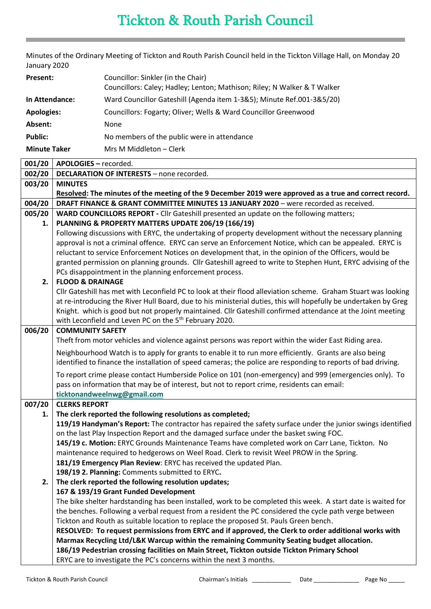## Tickton & Routh Parish Council

Minutes of the Ordinary Meeting of Tickton and Routh Parish Council held in the Tickton Village Hall, on Monday 20 January 2020

| Present:            | Councillor: Sinkler (in the Chair)<br>Councillors: Caley; Hadley; Lenton; Mathison; Riley; N Walker & T Walker |
|---------------------|----------------------------------------------------------------------------------------------------------------|
| In Attendance:      | Ward Councillor Gateshill (Agenda item 1-3&5); Minute Ref.001-3&5/20)                                          |
| <b>Apologies:</b>   | Councillors: Fogarty; Oliver; Wells & Ward Councillor Greenwood                                                |
| Absent:             | <b>None</b>                                                                                                    |
| <b>Public:</b>      | No members of the public were in attendance                                                                    |
| <b>Minute Taker</b> | Mrs M Middleton - Clerk                                                                                        |

| 001/20 | APOLOGIES - recorded.                                                                                                                                                                                                           |
|--------|---------------------------------------------------------------------------------------------------------------------------------------------------------------------------------------------------------------------------------|
| 002/20 | <b>DECLARATION OF INTERESTS - none recorded.</b>                                                                                                                                                                                |
| 003/20 | <b>MINUTES</b>                                                                                                                                                                                                                  |
|        | Resolved: The minutes of the meeting of the 9 December 2019 were approved as a true and correct record.                                                                                                                         |
| 004/20 | DRAFT FINANCE & GRANT COMMITTEE MINUTES 13 JANUARY 2020 - were recorded as received.                                                                                                                                            |
| 005/20 | WARD COUNCILLORS REPORT - Cllr Gateshill presented an update on the following matters;                                                                                                                                          |
| 1.     | PLANNING & PROPERTY MATTERS UPDATE 206/19 (166/19)                                                                                                                                                                              |
|        | Following discussions with ERYC, the undertaking of property development without the necessary planning                                                                                                                         |
|        | approval is not a criminal offence. ERYC can serve an Enforcement Notice, which can be appealed. ERYC is                                                                                                                        |
|        | reluctant to service Enforcement Notices on development that, in the opinion of the Officers, would be                                                                                                                          |
|        | granted permission on planning grounds. Cllr Gateshill agreed to write to Stephen Hunt, ERYC advising of the                                                                                                                    |
|        | PCs disappointment in the planning enforcement process.                                                                                                                                                                         |
| 2.     | <b>FLOOD &amp; DRAINAGE</b>                                                                                                                                                                                                     |
|        | Cllr Gateshill has met with Leconfield PC to look at their flood alleviation scheme. Graham Stuart was looking                                                                                                                  |
|        | at re-introducing the River Hull Board, due to his ministerial duties, this will hopefully be undertaken by Greg<br>Knight. which is good but not properly maintained. Cllr Gateshill confirmed attendance at the Joint meeting |
|        | with Leconfield and Leven PC on the 5 <sup>th</sup> February 2020.                                                                                                                                                              |
| 006/20 | <b>COMMUNITY SAFETY</b>                                                                                                                                                                                                         |
|        | Theft from motor vehicles and violence against persons was report within the wider East Riding area.                                                                                                                            |
|        |                                                                                                                                                                                                                                 |
|        | Neighbourhood Watch is to apply for grants to enable it to run more efficiently. Grants are also being<br>identified to finance the installation of speed cameras; the police are responding to reports of bad driving.         |
|        | To report crime please contact Humberside Police on 101 (non-emergency) and 999 (emergencies only). To<br>pass on information that may be of interest, but not to report crime, residents can email:                            |
|        | ticktonandweelnwg@gmail.com                                                                                                                                                                                                     |
| 007/20 | <b>CLERKS REPORT</b>                                                                                                                                                                                                            |
| 1.     | The clerk reported the following resolutions as completed;                                                                                                                                                                      |
|        | 119/19 Handyman's Report: The contractor has repaired the safety surface under the junior swings identified                                                                                                                     |
|        | on the last Play Inspection Report and the damaged surface under the basket swing FOC.                                                                                                                                          |
|        | 145/19 c. Motion: ERYC Grounds Maintenance Teams have completed work on Carr Lane, Tickton. No                                                                                                                                  |
|        | maintenance required to hedgerows on Weel Road. Clerk to revisit Weel PROW in the Spring.                                                                                                                                       |
|        | 181/19 Emergency Plan Review: ERYC has received the updated Plan.                                                                                                                                                               |
|        | 198/19 2. Planning: Comments submitted to ERYC.                                                                                                                                                                                 |
| 2.     | The clerk reported the following resolution updates;                                                                                                                                                                            |
|        | 167 & 193/19 Grant Funded Development                                                                                                                                                                                           |
|        | The bike shelter hardstanding has been installed, work to be completed this week. A start date is waited for                                                                                                                    |
|        | the benches. Following a verbal request from a resident the PC considered the cycle path verge between                                                                                                                          |
|        | Tickton and Routh as suitable location to replace the proposed St. Pauls Green bench.                                                                                                                                           |
|        | RESOLVED: To request permissions from ERYC and if approved, the Clerk to order additional works with<br>Marmax Recycling Ltd/L&K Warcup within the remaining Community Seating budget allocation.                               |
|        | 186/19 Pedestrian crossing facilities on Main Street, Tickton outside Tickton Primary School                                                                                                                                    |
|        | ERYC are to investigate the PC's concerns within the next 3 months.                                                                                                                                                             |
|        |                                                                                                                                                                                                                                 |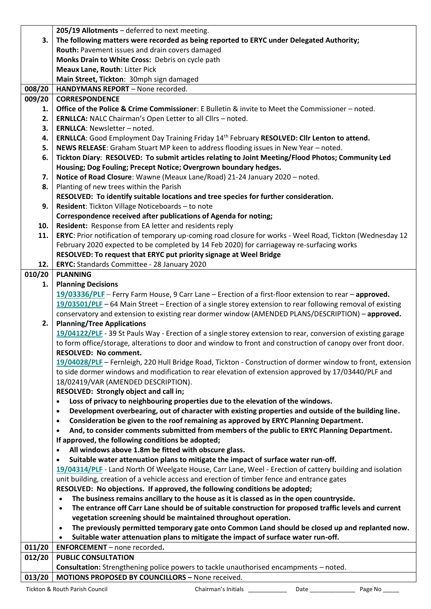|        | 205/19 Allotments - deferred to next meeting.                                                                                                                                                                  |
|--------|----------------------------------------------------------------------------------------------------------------------------------------------------------------------------------------------------------------|
| 3.     | The following matters were recorded as being reported to ERYC under Delegated Authority;                                                                                                                       |
|        | Routh: Pavement issues and drain covers damaged                                                                                                                                                                |
|        | Monks Drain to White Cross: Debris on cycle path                                                                                                                                                               |
|        | Meaux Lane, Routh: Litter Pick                                                                                                                                                                                 |
|        | Main Street, Tickton: 30mph sign damaged                                                                                                                                                                       |
| 008/20 | HANDYMANS REPORT - None recorded.                                                                                                                                                                              |
| 009/20 | <b>CORRESPONDENCE</b>                                                                                                                                                                                          |
| 1.     | Office of the Police & Crime Commissioner: E Bulletin & invite to Meet the Commissioner - noted.                                                                                                               |
| 2.     | ERNLLCA: NALC Chairman's Open Letter to all Cllrs - noted.                                                                                                                                                     |
| 3.     | <b>ERNLLCA: Newsletter - noted.</b>                                                                                                                                                                            |
| 4.     | ERNLLCA: Good Employment Day Training Friday 14 <sup>th</sup> February RESOLVED: Cllr Lenton to attend.                                                                                                        |
| 5.     | NEWS RELEASE: Graham Stuart MP keen to address flooding issues in New Year - noted.                                                                                                                            |
| 6.     | Tickton Diary: RESOLVED: To submit articles relating to Joint Meeting/Flood Photos; Community Led                                                                                                              |
|        | Housing; Dog Fouling; Precept Notice; Overgrown boundary hedges.                                                                                                                                               |
| 7.     | Notice of Road Closure: Wawne (Meaux Lane/Road) 21-24 January 2020 - noted.                                                                                                                                    |
| 8.     | Planting of new trees within the Parish                                                                                                                                                                        |
|        | RESOLVED: To identify suitable locations and tree species for further consideration.                                                                                                                           |
| 9.     | Resident: Tickton Village Noticeboards - to note                                                                                                                                                               |
|        | Correspondence received after publications of Agenda for noting;                                                                                                                                               |
| 10.    | Resident: Response from EA letter and residents reply                                                                                                                                                          |
| 11.    | ERYC: Prior notification of temporary up-coming road closure for works - Weel Road, Tickton (Wednesday 12                                                                                                      |
|        | February 2020 expected to be completed by 14 Feb 2020) for carriageway re-surfacing works                                                                                                                      |
|        | RESOLVED: To request that ERYC put priority signage at Weel Bridge                                                                                                                                             |
| 12.    | ERYC: Standards Committee - 28 January 2020                                                                                                                                                                    |
| 010/20 | <b>PLANNING</b>                                                                                                                                                                                                |
| 1.     | <b>Planning Decisions</b>                                                                                                                                                                                      |
|        | 19/03336/PLF - Ferry Farm House, 9 Carr Lane - Erection of a first-floor extension to rear - approved.                                                                                                         |
|        | 19/03501/PLF - 64 Main Street - Erection of a single storey extension to rear following removal of existing                                                                                                    |
|        | conservatory and extension to existing rear dormer window (AMENDED PLANS/DESCRIPTION) - approved.                                                                                                              |
| 2.     | <b>Planning/Tree Applications</b>                                                                                                                                                                              |
|        | 19/04122/PLF - 39 St Pauls Way - Erection of a single storey extension to rear, conversion of existing garage                                                                                                  |
|        | to form office/storage, alterations to door and window to front and construction of canopy over front door.                                                                                                    |
|        | <b>RESOLVED: No comment.</b>                                                                                                                                                                                   |
|        | 19/04028/PLF - Fernleigh, 220 Hull Bridge Road, Tickton - Construction of dormer window to front, extension                                                                                                    |
|        | to side dormer windows and modification to rear elevation of extension approved by 17/03440/PLF and                                                                                                            |
|        | 18/02419/VAR (AMENDED DESCRIPTION).                                                                                                                                                                            |
|        | RESOLVED: Strongly object and call in;                                                                                                                                                                         |
|        | Loss of privacy to neighbouring properties due to the elevation of the windows.<br>$\bullet$                                                                                                                   |
|        | Development overbearing, out of character with existing properties and outside of the building line.<br>$\bullet$                                                                                              |
|        | Consideration be given to the roof remaining as approved by ERYC Planning Department.<br>٠                                                                                                                     |
|        | And, to consider comments submitted from members of the public to ERYC Planning Department.<br>$\bullet$                                                                                                       |
|        | If approved, the following conditions be adopted;                                                                                                                                                              |
|        | All windows above 1.8m be fitted with obscure glass.                                                                                                                                                           |
|        | Suitable water attenuation plans to mitigate the impact of surface water run-off.<br>٠                                                                                                                         |
|        | 19/04314/PLF - Land North Of Weelgate House, Carr Lane, Weel - Erection of cattery building and isolation                                                                                                      |
|        | unit building, creation of a vehicle access and erection of timber fence and entrance gates                                                                                                                    |
|        | RESOLVED: No objections. If approved, the following conditions be adopted;                                                                                                                                     |
|        | The business remains ancillary to the house as it is classed as in the open countryside.<br>$\bullet$                                                                                                          |
|        | The entrance off Carr Lane should be of suitable construction for proposed traffic levels and current<br>$\bullet$                                                                                             |
|        | vegetation screening should be maintained throughout operation.                                                                                                                                                |
|        | The previously permitted temporary gate onto Common Land should be closed up and replanted now.<br>$\bullet$<br>Suitable water attenuation plans to mitigate the impact of surface water run-off.<br>$\bullet$ |
| 011/20 | <b>ENFORCEMENT</b> - none recorded.                                                                                                                                                                            |
| 012/20 | <b>PUBLIC CONSULTATION</b>                                                                                                                                                                                     |
|        | Consultation: Strengthening police powers to tackle unauthorised encampments - noted.                                                                                                                          |
| 013/20 | MOTIONS PROPOSED BY COUNCILLORS - None received.                                                                                                                                                               |
|        |                                                                                                                                                                                                                |